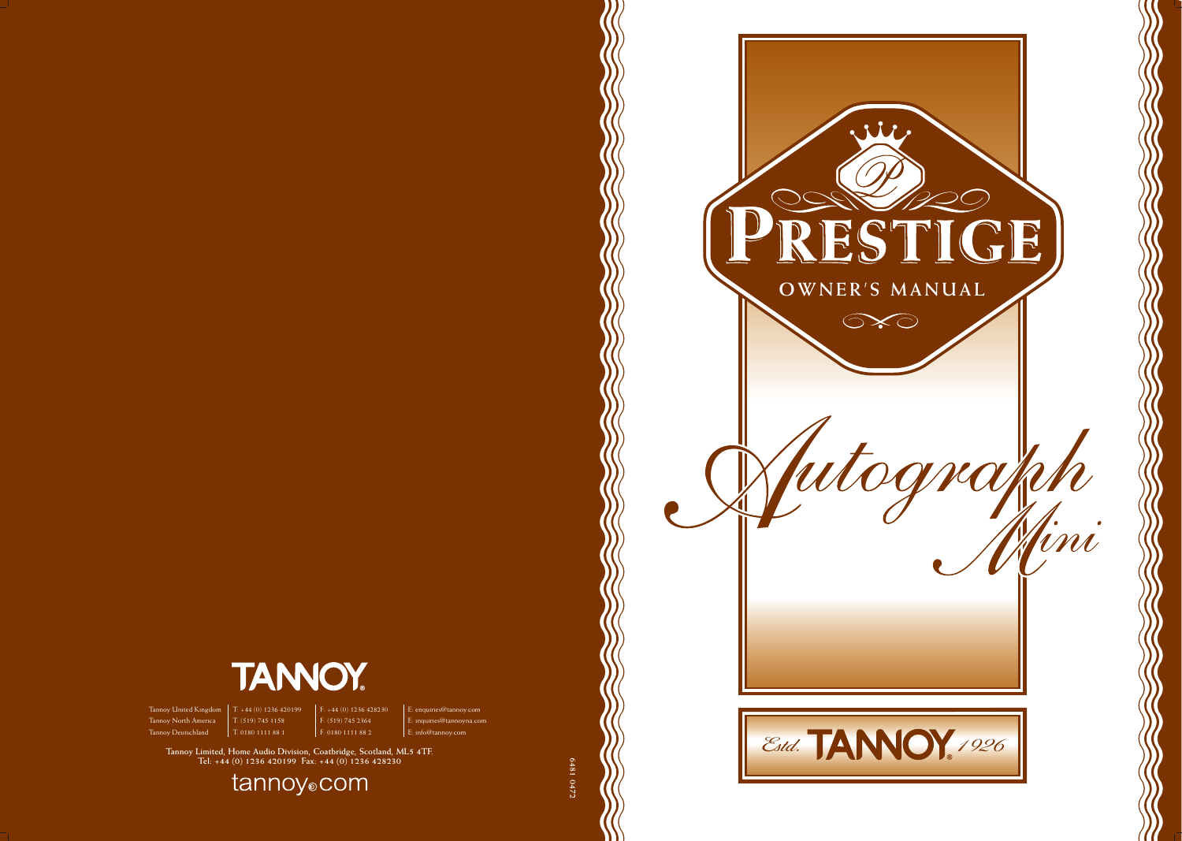

Tannoy United Kingdom | T: +44 (0) 1236 420199 | F: +44 (0) 1236 428230 | E: enquiries@tannoy.com Tannoy North America T: (519) 745 1158 F: (519) 745 2364 E: inquiries@tannoyna.com

 $\frac{1}{1}$  T: 0180 1111 88 1

Tannoy Limited, Home Audio Division, Coatbridge, Scotland, ML5 4TF.<br>Tel: +44 (0) 1236 420199 Fax: +44 (0) 1236 428230

tannoy<sub>o</sub>com





**6481 0472**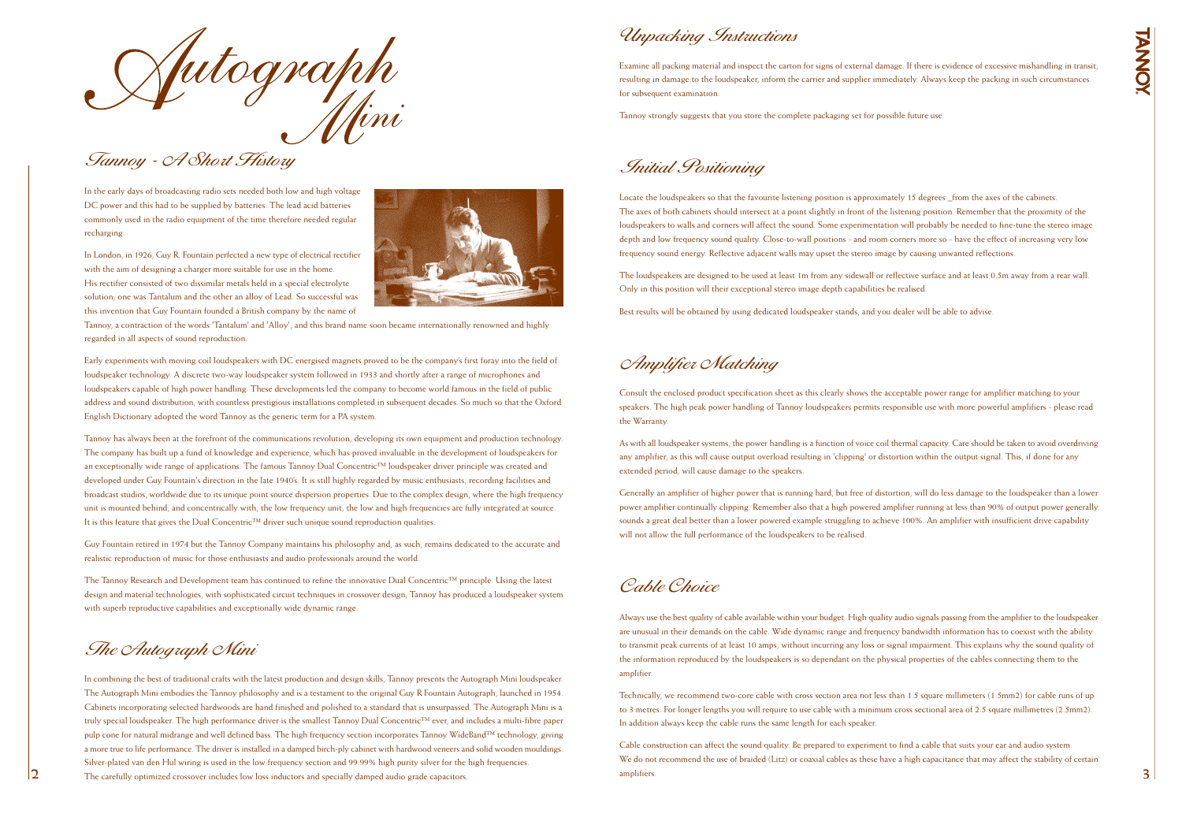

In the early days of broadcasting radio sets needed both low and high voltage DC power and this had to be supplied by batteries. The lead acid batteries commonly used in the radio equipment of the time therefore needed regular recharging.

In London, in 1926, Guy R. Fountain perfected a new type of electrical rectifier with the aim of designing a charger more suitable for use in the home. His rectifier consisted of two dissimilar metals held in a special electrolyte solution; one was Tantalum and the other an alloy of Lead. So successful was this invention that Guy Fountain founded a British company by the name of



Tannoy, a contraction of the words 'Tantalum' and 'Alloy', and this brand name soon became internationally renowned and highly regarded in all aspects of sound reproduction.

Early experiments with moving coil loudspeakers with DC energised magnets proved to be the company's first foray into the field of loudspeaker technology. A discrete two-way loudspeaker system followed in 1933 and shortly after a range of microphones and loudspeakers capable of high power handling. These developments led the company to become world famous in the field of public address and sound distribution, with countless prestigious installations completed in subsequent decades. So much so that the Oxford English Dictionary adopted the word Tannoy as the generic term for a PA system.

Tannoy has always been at the forefront of the communications revolution, developing its own equipment and production technology. The company has built up a fund of knowledge and experience, which has proved invaluable in the development of loudspeakers for an exceptionally wide range of applications. The famous Tannoy Dual Concentric™ loudspeaker driver principle was created and developed under Guy Fountain's direction in the late 1940's. It is still highly regarded by music enthusiasts, recording facilities and broadcast studios, worldwide due to its unique point source dispersion properties. Due to the complex design, where the high frequency unit is mounted behind, and concentrically with, the low frequency unit, the low and high frequencies are fully integrated at source. It is this feature that gives the Dual Concentric™ driver such unique sound reproduction qualities.

Guy Fountain retired in 1974 but the Tannoy Company maintains his philosophy and, as such, remains dedicated to the accurate and realistic reproduction of music for those enthusiasts and audio professionals around the world.

The Tannoy Research and Development team has continued to refine the innovative Dual Concentric™ principle. Using the latest design and material technologies, with sophisticated circuit techniques in crossover design; Tannoy has produced a loudspeaker system with superb reproductive capabilities and exceptionally wide dynamic range.

# The Autograph Mini

## Initial Positioning

Locate the loudspeakers so that the favourite listening position is approximately 15 degrees \_from the axes of the cabinets. The axes of both cabinets should intersect at a point slightly in front of the listening position. Remember that the proximity of the loudspeakers to walls and corners will affect the sound. Some experimentation will probably be needed to fine-tune the stereo image depth and low frequency sound quality. Close-to-wall positions - and room corners more so - have the effect of increasing very low frequency sound energy. Reflective adjacent walls may upset the stereo image by causing unwanted reflections.

The loudspeakers are designed to be used at least 1m from any sidewall or reflective surface and at least 0.5m away from a rear wall. Only in this position will their exceptional stereo image depth capabilities be realised.

Best results will be obtained by using dedicated loudspeaker stands, and you dealer will be able to advise.

Unpacking Instructions

Examine all packing material and inspect the carton for signs of external damage. If there is evidence of excessive mishandling in transit, resulting in damage to the loudspeaker, inform the carrier and supplier immediately. Always keep the packing in such circumstances for subsequent examination.

**2 3** The carefully optimized crossover includes low loss inductors and specially damped audio grade capacitors. In combining the best of traditional crafts with the latest production and design skills, Tannoy presents the Autograph Mini loudspeaker. The Autograph Mini embodies the Tannoy philosophy and is a testament to the original Guy R Fountain Autograph, launched in 1954. Cabinets incorporating selected hardwoods are hand finished and polished to a standard that is unsurpassed. The Autograph Mini is a truly special loudspeaker. The high performance driver is the smallest Tannoy Dual Concentric™ ever, and includes a multi-fibre paper pulp cone for natural midrange and well defined bass. The high frequency section incorporates Tannoy WideBand™ technology, giving a more true to life performance. The driver is installed in a damped birch-ply cabinet with hardwood veneers and solid wooden mouldings. Silver-plated van den Hul wiring is used in the low frequency section and 99.99% high purity silver for the high frequencies.

Tannoy strongly suggests that you store the complete packaging set for possible future use.

# Amplifier Matching

Consult the enclosed product specification sheet as this clearly shows the acceptable power range for amplifier matching to your speakers. The high peak power handling of Tannoy loudspeakers permits responsible use with more powerful amplifiers - please read the Warranty.

As with all loudspeaker systems, the power handling is a function of voice coil thermal capacity. Care should be taken to avoid overdriving any amplifier, as this will cause output overload resulting in 'clipping' or distortion within the output signal. This, if done for any extended period, will cause damage to the speakers.

Generally an amplifier of higher power that is running hard, but free of distortion, will do less damage to the loudspeaker than a lower power amplifier continually clipping. Remember also that a high powered amplifier running at less than 90% of output power generally sounds a great deal better than a lower powered example struggling to achieve 100%. An amplifier with insufficient drive capability will not allow the full performance of the loudspeakers to be realised.

Always use the best quality of cable available within your budget. High quality audio signals passing from the amplifier to the loudspeaker are unusual in their demands on the cable. Wide dynamic range and frequency bandwidth information has to coexist with the ability to transmit peak currents of at least 10 amps, without incurring any loss or signal impairment. This explains why the sound quality of the information reproduced by the loudspeakers is so dependant on the physical properties of the cables connecting them to the amplifier.

Technically, we recommend two-core cable with cross section area not less than 1.5 square millimeters (1.5mm2) for cable runs of up to 3 metres. For longer lengths you will require to use cable with a minimum cross sectional area of 2.5 square millimetres (2.5mm2). In addition always keep the cable runs the same length for each speaker.

Cable construction can affect the sound quality. Be prepared to experiment to find a cable that suits your ear and audio system. We do not recommend the use of braided (Litz) or coaxial cables as these have a high capacitance that may affect the stability of certain amplifiers.

NNO

## Cable Choice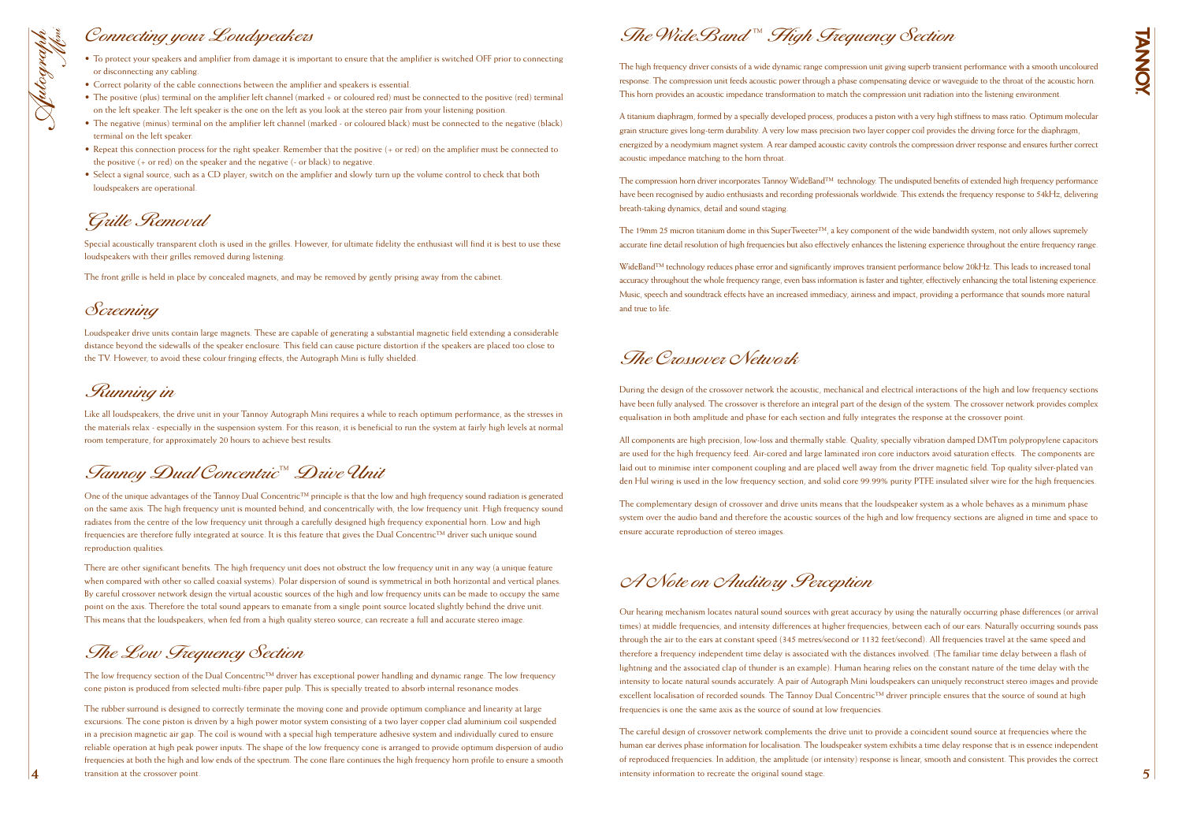**4**

- To protect your speakers and amplifier from damage it is important to ensure that the amplifier is switched OFF prior to connecting or disconnecting any cabling.
- Correct polarity of the cable connections between the amplifier and speakers is essential.
- The positive (plus) terminal on the amplifier left channel (marked + or coloured red) must be connected to the positive (red) terminal on the left speaker. The left speaker is the one on the left as you look at the stereo pair from your listening position.
- The negative (minus) terminal on the amplifier left channel (marked or coloured black) must be connected to the negative (black) terminal on the left speaker.
- Repeat this connection process for the right speaker. Remember that the positive (+ or red) on the amplifier must be connected to the positive (+ or red) on the speaker and the negative (- or black) to negative.
- Select a signal source, such as a CD player; switch on the amplifier and slowly turn up the volume control to check that both loudspeakers are operational.

Special acoustically transparent cloth is used in the grilles. However, for ultimate fidelity the enthusiast will find it is best to use these loudspeakers with their grilles removed during listening.

## Connecting your Loudspeakers



The front grille is held in place by concealed magnets, and may be removed by gently prising away from the cabinet.

## Grille Removal

Loudspeaker drive units contain large magnets. These are capable of generating a substantial magnetic field extending a considerable distance beyond the sidewalls of the speaker enclosure. This field can cause picture distortion if the speakers are placed too close to the TV. However, to avoid these colour fringing effects, the Autograph Mini is fully shielded.

# Screening

The low frequency section of the Dual Concentric<sup>™</sup> driver has exceptional power handling and dynamic range. The low frequency cone piston is produced from selected multi-fibre paper pulp. This is specially treated to absorb internal resonance modes.

Like all loudspeakers, the drive unit in your Tannoy Autograph Mini requires a while to reach optimum performance, as the stresses in the materials relax - especially in the suspension system. For this reason, it is beneficial to run the system at fairly high levels at normal room temperature, for approximately 20 hours to achieve best results.

### Running in

One of the unique advantages of the Tannoy Dual Concentric™ principle is that the low and high frequency sound radiation is generated on the same axis. The high frequency unit is mounted behind, and concentrically with, the low frequency unit. High frequency sound radiates from the centre of the low frequency unit through a carefully designed high frequency exponential horn. Low and high frequencies are therefore fully integrated at source. It is this feature that gives the Dual Concentric™ driver such unique sound reproduction qualities.

There are other significant benefits. The high frequency unit does not obstruct the low frequency unit in any way (a unique feature when compared with other so called coaxial systems). Polar dispersion of sound is symmetrical in both horizontal and vertical planes. By careful crossover network design the virtual acoustic sources of the high and low frequency units can be made to occupy the same point on the axis. Therefore the total sound appears to emanate from a single point source located slightly behind the drive unit. This means that the loudspeakers, when fed from a high quality stereo source, can recreate a full and accurate stereo image.

WideBand™ technology reduces phase error and significantly improves transient performance below 20kHz. This leads to increased tonal accuracy throughout the whole frequency range, even bass information is faster and tighter, effectively enhancing the total listening experience. Music, speech and soundtrack effects have an increased immediacy, airiness and impact, providing a performance that sounds more natural and true to life.

# Tannoy Dual Concentric ™ Drive Unit

The rubber surround is designed to correctly terminate the moving cone and provide optimum compliance and linearity at large excursions. The cone piston is driven by a high power motor system consisting of a two layer copper clad aluminium coil suspended in a precision magnetic air gap. The coil is wound with a special high temperature adhesive system and individually cured to ensure reliable operation at high peak power inputs. The shape of the low frequency cone is arranged to provide optimum dispersion of audio frequencies at both the high and low ends of the spectrum. The cone flare continues the high frequency horn profile to ensure a smooth transition at the crossover point.

## The Low Frequency Section

The high frequency driver consists of a wide dynamic range compression unit giving superb transient performance with a smooth uncoloured response. The compression unit feeds acoustic power through a phase compensating device or waveguide to the throat of the acoustic horn. This horn provides an acoustic impedance transformation to match the compression unit radiation into the listening environment.

A titanium diaphragm, formed by a specially developed process, produces a piston with a very high stiffness to mass ratio. Optimum molecular grain structure gives long-term durability. A very low mass precision two layer copper coil provides the driving force for the diaphragm, energized by a neodymium magnet system. A rear damped acoustic cavity controls the compression driver response and ensures further correct acoustic impedance matching to the horn throat.

The compression horn driver incorporates Tannoy WideBand™ technology. The undisputed benefits of extended high frequency performance have been recognised by audio enthusiasts and recording professionals worldwide. This extends the frequency response to 54kHz, delivering breath-taking dynamics, detail and sound staging.

The 19mm 25 micron titanium dome in this SuperTweeter™, a key component of the wide bandwidth system, not only allows supremely accurate fine detail resolution of high frequencies but also effectively enhances the listening experience throughout the entire frequency range.

# The WideBand ™ High Frequency Section

# The Crossover Network

During the design of the crossover network the acoustic, mechanical and electrical interactions of the high and low frequency sections have been fully analysed. The crossover is therefore an integral part of the design of the system. The crossover network provides complex equalisation in both amplitude and phase for each section and fully integrates the response at the crossover point.

All components are high precision, low-loss and thermally stable. Quality, specially vibration damped DMTtm polypropylene capacitors are used for the high frequency feed. Air-cored and large laminated iron core inductors avoid saturation effects. The components are laid out to minimise inter component coupling and are placed well away from the driver magnetic field. Top quality silver-plated van den Hul wiring is used in the low frequency section, and solid core 99.99% purity PTFE insulated silver wire for the high frequencies.

The complementary design of crossover and drive units means that the loudspeaker system as a whole behaves as a minimum phase system over the audio band and therefore the acoustic sources of the high and low frequency sections are aligned in time and space to ensure accurate reproduction of stereo images.

A Note on Auditory Perception

Our hearing mechanism locates natural sound sources with great accuracy by using the naturally occurring phase differences (or arrival times) at middle frequencies, and intensity differences at higher frequencies, between each of our ears. Naturally occurring sounds pass through the air to the ears at constant speed (345 metres/second or 1132 feet/second). All frequencies travel at the same speed and therefore a frequency independent time delay is associated with the distances involved. (The familiar time delay between a flash of lightning and the associated clap of thunder is an example). Human hearing relies on the constant nature of the time delay with the intensity to locate natural sounds accurately. A pair of Autograph Mini loudspeakers can uniquely reconstruct stereo images and provide excellent localisation of recorded sounds. The Tannoy Dual Concentric™ driver principle ensures that the source of sound at high frequencies is one the same axis as the source of sound at low frequencies.

The careful design of crossover network complements the drive unit to provide a coincident sound source at frequencies where the human ear derives phase information for localisation. The loudspeaker system exhibits a time delay response that is in essence independent of reproduced frequencies. In addition, the amplitude (or intensity) response is linear, smooth and consistent. This provides the correct intensity information to recreate the original sound stage.